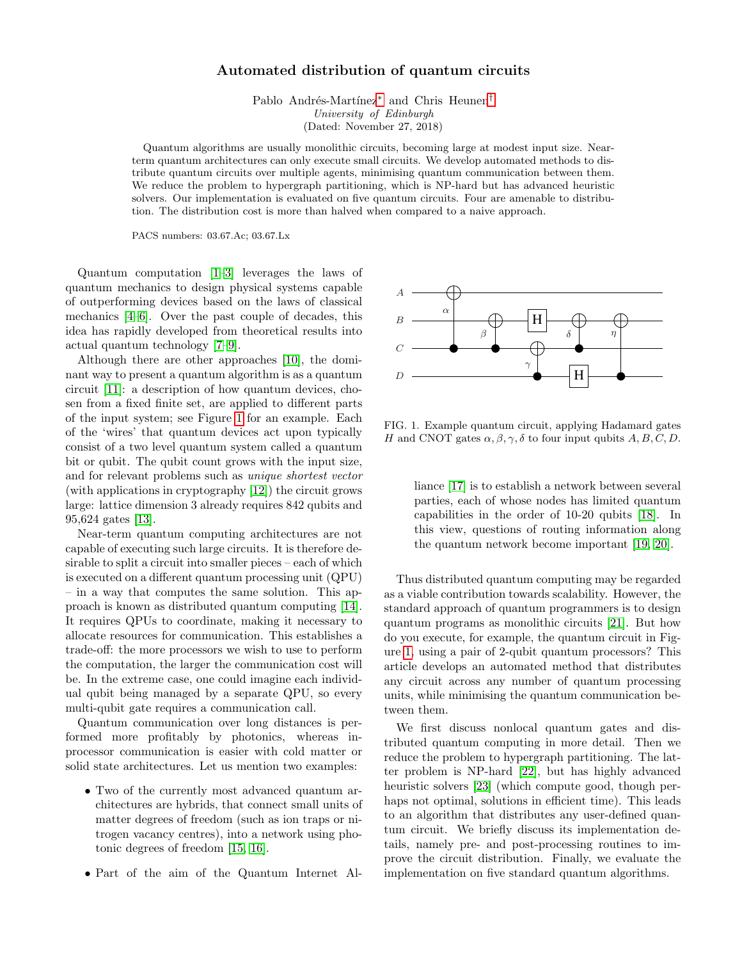## Automated distribution of quantum circuits

Pablo Andrés-Martínez<sup>[∗](#page-4-0)</sup> and Chris Heunen<sup>[†](#page-5-0)</sup> University of Edinburgh (Dated: November 27, 2018)

Quantum algorithms are usually monolithic circuits, becoming large at modest input size. Nearterm quantum architectures can only execute small circuits. We develop automated methods to distribute quantum circuits over multiple agents, minimising quantum communication between them. We reduce the problem to hypergraph partitioning, which is NP-hard but has advanced heuristic solvers. Our implementation is evaluated on five quantum circuits. Four are amenable to distribution. The distribution cost is more than halved when compared to a naive approach.

PACS numbers: 03.67.Ac; 03.67.Lx

Quantum computation [\[1–](#page-5-1)[3\]](#page-5-2) leverages the laws of quantum mechanics to design physical systems capable of outperforming devices based on the laws of classical mechanics [\[4–](#page-5-3)[6\]](#page-5-4). Over the past couple of decades, this idea has rapidly developed from theoretical results into actual quantum technology [\[7–](#page-5-5)[9\]](#page-5-6).

Although there are other approaches [\[10\]](#page-5-7), the dominant way to present a quantum algorithm is as a quantum circuit [\[11\]](#page-5-8): a description of how quantum devices, chosen from a fixed finite set, are applied to different parts of the input system; see Figure [1](#page-0-0) for an example. Each of the 'wires' that quantum devices act upon typically consist of a two level quantum system called a quantum bit or qubit. The qubit count grows with the input size, and for relevant problems such as unique shortest vector (with applications in cryptography [\[12\]](#page-5-9)) the circuit grows large: lattice dimension 3 already requires 842 qubits and 95,624 gates [\[13\]](#page-5-10).

Near-term quantum computing architectures are not capable of executing such large circuits. It is therefore desirable to split a circuit into smaller pieces – each of which is executed on a different quantum processing unit (QPU) – in a way that computes the same solution. This approach is known as distributed quantum computing [\[14\]](#page-5-11). It requires QPUs to coordinate, making it necessary to allocate resources for communication. This establishes a trade-off: the more processors we wish to use to perform the computation, the larger the communication cost will be. In the extreme case, one could imagine each individual qubit being managed by a separate QPU, so every multi-qubit gate requires a communication call.

Quantum communication over long distances is performed more profitably by photonics, whereas inprocessor communication is easier with cold matter or solid state architectures. Let us mention two examples:

- Two of the currently most advanced quantum architectures are hybrids, that connect small units of matter degrees of freedom (such as ion traps or nitrogen vacancy centres), into a network using photonic degrees of freedom [\[15,](#page-5-12) [16\]](#page-5-13).
- Part of the aim of the Quantum Internet Al-



<span id="page-0-0"></span>FIG. 1. Example quantum circuit, applying Hadamard gates H and CNOT gates  $\alpha, \beta, \gamma, \delta$  to four input qubits  $A, B, C, D$ .

liance [\[17\]](#page-5-14) is to establish a network between several parties, each of whose nodes has limited quantum capabilities in the order of 10-20 qubits [\[18\]](#page-5-15). In this view, questions of routing information along the quantum network become important [\[19,](#page-5-16) [20\]](#page-5-17).

Thus distributed quantum computing may be regarded as a viable contribution towards scalability. However, the standard approach of quantum programmers is to design quantum programs as monolithic circuits [\[21\]](#page-5-18). But how do you execute, for example, the quantum circuit in Figure [1,](#page-0-0) using a pair of 2-qubit quantum processors? This article develops an automated method that distributes any circuit across any number of quantum processing units, while minimising the quantum communication between them.

We first discuss nonlocal quantum gates and distributed quantum computing in more detail. Then we reduce the problem to hypergraph partitioning. The latter problem is NP-hard [\[22\]](#page-5-19), but has highly advanced heuristic solvers [\[23\]](#page-5-20) (which compute good, though perhaps not optimal, solutions in efficient time). This leads to an algorithm that distributes any user-defined quantum circuit. We briefly discuss its implementation details, namely pre- and post-processing routines to improve the circuit distribution. Finally, we evaluate the implementation on five standard quantum algorithms.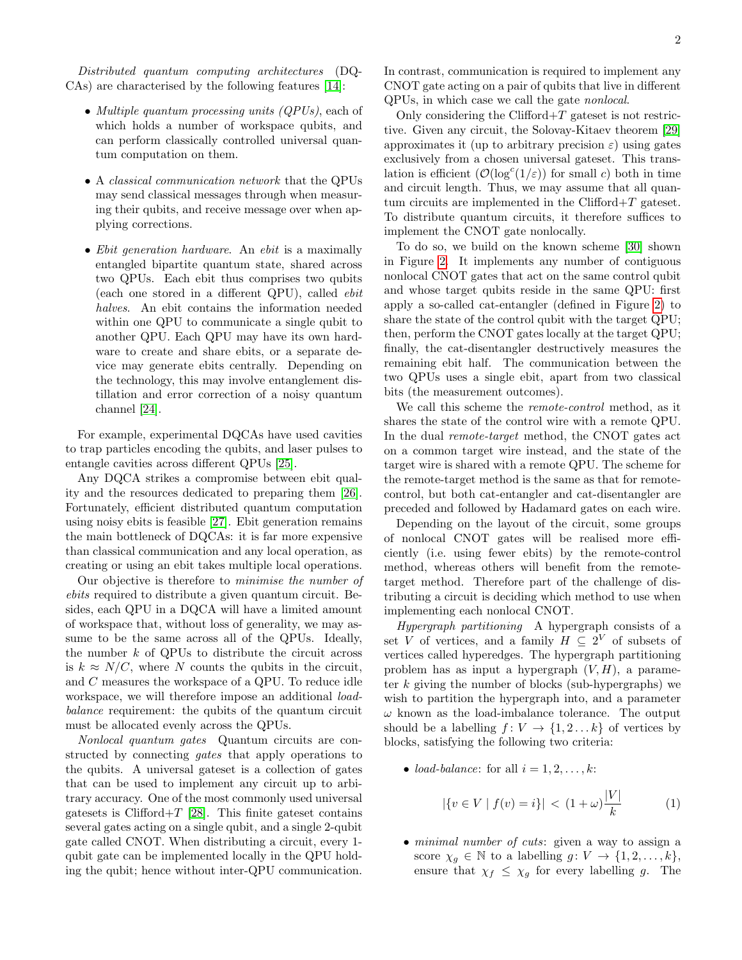Distributed quantum computing architectures (DQ-CAs) are characterised by the following features [\[14\]](#page-5-11):

- Multiple quantum processing units (QPUs), each of which holds a number of workspace qubits, and can perform classically controlled universal quantum computation on them.
- A classical communication network that the QPUs may send classical messages through when measuring their qubits, and receive message over when applying corrections.
- *Ebit generation hardware*. An *ebit* is a maximally entangled bipartite quantum state, shared across two QPUs. Each ebit thus comprises two qubits (each one stored in a different QPU), called ebit halves. An ebit contains the information needed within one QPU to communicate a single qubit to another QPU. Each QPU may have its own hardware to create and share ebits, or a separate device may generate ebits centrally. Depending on the technology, this may involve entanglement distillation and error correction of a noisy quantum channel [\[24\]](#page-5-21).

For example, experimental DQCAs have used cavities to trap particles encoding the qubits, and laser pulses to entangle cavities across different QPUs [\[25\]](#page-5-22).

Any DQCA strikes a compromise between ebit quality and the resources dedicated to preparing them [\[26\]](#page-5-23). Fortunately, efficient distributed quantum computation using noisy ebits is feasible [\[27\]](#page-5-24). Ebit generation remains the main bottleneck of DQCAs: it is far more expensive than classical communication and any local operation, as creating or using an ebit takes multiple local operations.

Our objective is therefore to minimise the number of ebits required to distribute a given quantum circuit. Besides, each QPU in a DQCA will have a limited amount of workspace that, without loss of generality, we may assume to be the same across all of the QPUs. Ideally, the number  $k$  of QPUs to distribute the circuit across is  $k \approx N/C$ , where N counts the qubits in the circuit, and C measures the workspace of a QPU. To reduce idle workspace, we will therefore impose an additional *load*balance requirement: the qubits of the quantum circuit must be allocated evenly across the QPUs.

Nonlocal quantum gates Quantum circuits are constructed by connecting gates that apply operations to the qubits. A universal gateset is a collection of gates that can be used to implement any circuit up to arbitrary accuracy. One of the most commonly used universal gatesets is Clifford $+T$  [\[28\]](#page-5-25). This finite gateset contains several gates acting on a single qubit, and a single 2-qubit gate called CNOT. When distributing a circuit, every 1 qubit gate can be implemented locally in the QPU holding the qubit; hence without inter-QPU communication.

In contrast, communication is required to implement any CNOT gate acting on a pair of qubits that live in different QPUs, in which case we call the gate nonlocal.

Only considering the Clifford $+T$  gateset is not restrictive. Given any circuit, the Solovay-Kitaev theorem [\[29\]](#page-5-26) approximates it (up to arbitrary precision  $\varepsilon$ ) using gates exclusively from a chosen universal gateset. This translation is efficient  $(\mathcal{O}(\log^c(1/\varepsilon))$  for small c) both in time and circuit length. Thus, we may assume that all quantum circuits are implemented in the Clifford $+T$  gateset. To distribute quantum circuits, it therefore suffices to implement the CNOT gate nonlocally.

To do so, we build on the known scheme [\[30\]](#page-5-27) shown in Figure [2.](#page-2-0) It implements any number of contiguous nonlocal CNOT gates that act on the same control qubit and whose target qubits reside in the same QPU: first apply a so-called cat-entangler (defined in Figure [2\)](#page-2-0) to share the state of the control qubit with the target QPU; then, perform the CNOT gates locally at the target QPU; finally, the cat-disentangler destructively measures the remaining ebit half. The communication between the two QPUs uses a single ebit, apart from two classical bits (the measurement outcomes).

We call this scheme the remote-control method, as it shares the state of the control wire with a remote QPU. In the dual remote-target method, the CNOT gates act on a common target wire instead, and the state of the target wire is shared with a remote QPU. The scheme for the remote-target method is the same as that for remotecontrol, but both cat-entangler and cat-disentangler are preceded and followed by Hadamard gates on each wire.

Depending on the layout of the circuit, some groups of nonlocal CNOT gates will be realised more efficiently (i.e. using fewer ebits) by the remote-control method, whereas others will benefit from the remotetarget method. Therefore part of the challenge of distributing a circuit is deciding which method to use when implementing each nonlocal CNOT.

Hypergraph partitioning A hypergraph consists of a set V of vertices, and a family  $H \subseteq 2^V$  of subsets of vertices called hyperedges. The hypergraph partitioning problem has as input a hypergraph  $(V, H)$ , a parameter k giving the number of blocks (sub-hypergraphs) we wish to partition the hypergraph into, and a parameter  $\omega$  known as the load-imbalance tolerance. The output should be a labelling  $f: V \to \{1, 2, \ldots k\}$  of vertices by blocks, satisfying the following two criteria:

• *load-balance*: for all  $i = 1, 2, \ldots, k$ :

<span id="page-1-0"></span>
$$
|\{v \in V \mid f(v) = i\}| < (1 + \omega) \frac{|V|}{k} \tag{1}
$$

• *minimal number of cuts:* given a way to assign a score  $\chi_g \in \mathbb{N}$  to a labelling  $g: V \to \{1, 2, ..., k\},\$ ensure that  $\chi_f \leq \chi_g$  for every labelling g. The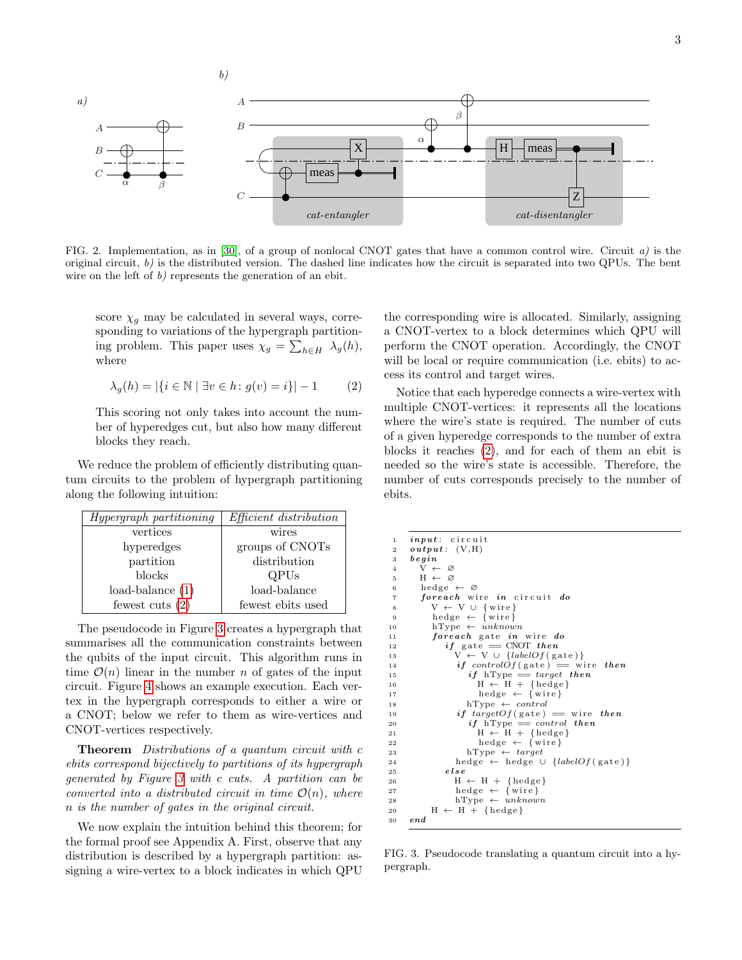

<span id="page-2-0"></span>FIG. 2. Implementation, as in [\[30\]](#page-5-27), of a group of nonlocal CNOT gates that have a common control wire. Circuit  $a$ ) is the original circuit,  $b$ ) is the distributed version. The dashed line indicates how the circuit is separated into two QPUs. The bent wire on the left of  $b$ ) represents the generation of an ebit.

score  $\chi_g$  may be calculated in several ways, corresponding to variations of the hypergraph partitioning problem. This paper uses  $\chi_g = \sum_{h \in H} \lambda_g(h)$ , where

<span id="page-2-1"></span>
$$
\lambda_g(h) = |\{ i \in \mathbb{N} \mid \exists v \in h : g(v) = i \}| - 1 \tag{2}
$$

This scoring not only takes into account the number of hyperedges cut, but also how many different blocks they reach.

We reduce the problem of efficiently distributing quantum circuits to the problem of hypergraph partitioning along the following intuition:

| Hypergraph partitioning | Efficient distribution |
|-------------------------|------------------------|
| vertices                | wires                  |
| hyperedges              | groups of CNOTs        |
| partition               | distribution           |
| blocks                  | <b>OPUs</b>            |
| load-balance $(1)$      | load-balance           |
| fewest cuts $(2)$       | fewest ebits used      |

The pseudocode in Figure [3](#page-2-2) creates a hypergraph that summarises all the communication constraints between the qubits of the input circuit. This algorithm runs in time  $\mathcal{O}(n)$  linear in the number n of gates of the input circuit. Figure [4](#page-3-0) shows an example execution. Each vertex in the hypergraph corresponds to either a wire or a CNOT; below we refer to them as wire-vertices and CNOT-vertices respectively.

Theorem Distributions of a quantum circuit with c ebits correspond bijectively to partitions of its hypergraph generated by Figure [3](#page-2-2) with c cuts. A partition can be converted into a distributed circuit in time  $\mathcal{O}(n)$ , where n is the number of gates in the original circuit.

We now explain the intuition behind this theorem; for the formal proof see Appendix A. First, observe that any distribution is described by a hypergraph partition: assigning a wire-vertex to a block indicates in which QPU

the corresponding wire is allocated. Similarly, assigning a CNOT-vertex to a block determines which QPU will perform the CNOT operation. Accordingly, the CNOT will be local or require communication (i.e. ebits) to access its control and target wires.

Notice that each hyperedge connects a wire-vertex with multiple CNOT-vertices: it represents all the locations where the wire's state is required. The number of cuts of a given hyperedge corresponds to the number of extra blocks it reaches [\(2\)](#page-2-1), and for each of them an ebit is needed so the wire's state is accessible. Therefore, the number of cuts corresponds precisely to the number of ebits.

```
input: circuit
2 output: (V,H)\begin{array}{cc} 3 & \text{begin} \text{ } & \text{ } & \text{ } \\ 4 & \text{ } & \text{ } & \text{ } \end{array} \begin{array}{c} \text{ } & \text{ } & \text{ } \end{array}5 H \leftarrow \varnothinghedge \leftarrow \varnothingforeach wire in circuit do
                \leftarrow V ∪ {wire}<br>edge ← {wire}
             hedge \leftarrow10 hType \leftarrow unknown
11 foreach gate in wire do
12 if gate \equiv CNOT then
13 V \leftarrow V \cup \{labelOf} (\text{gate})\}<br>
14 if \text{ controlOf}(\text{gate}) == wif \; \mathit{controlOf}(\, \text{gate} \,) \; = \; \text{wire} \; \; then15 if hType = target then<br>
H \leftarrow H + \{\text{hedge}\}H \leftarrow H + \{h \in \bar{d} g e\}17 hedge \leftarrow {wire}
18 hType \leftarrow \ control19 if targetOf (gate) = wire then
20 if hf hType = control then
21 H \leftarrow H + \{\text{hedge}\}22 hedge \leftarrow {wire}
23 hType \leftarrow target
24 hedge ← hedge ∪ {labelOf(gate)}
25 else<br>26 \overline{H} \leftarrow26 H \leftarrow H + \{\text{hedge}\}\<br>27 \text{hedge} \leftarrow \{\text{wire}\}\\texttt{hedge}~\leftarrow~\{\texttt{wire}\}28 hType \leftarrow unknown<br>
29 H \leftarrow H + \{hedge\}30 end
```
<span id="page-2-2"></span>FIG. 3. Pseudocode translating a quantum circuit into a hypergraph.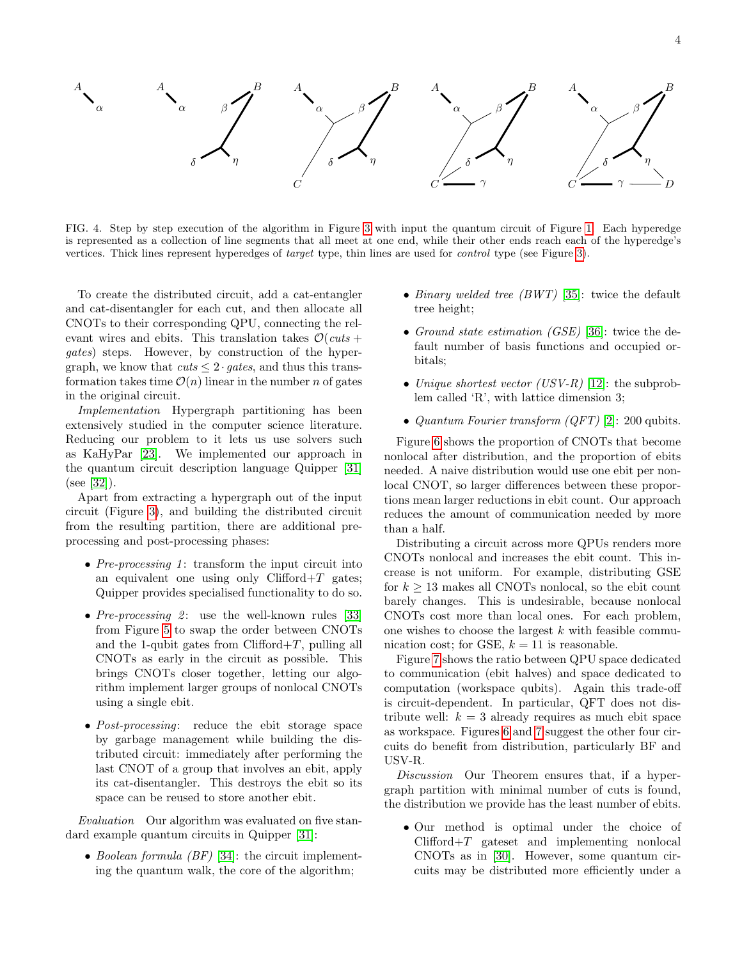

<span id="page-3-0"></span>FIG. 4. Step by step execution of the algorithm in Figure [3](#page-2-2) with input the quantum circuit of Figure [1.](#page-0-0) Each hyperedge is represented as a collection of line segments that all meet at one end, while their other ends reach each of the hyperedge's vertices. Thick lines represent hyperedges of target type, thin lines are used for control type (see Figure [3\)](#page-2-2).

To create the distributed circuit, add a cat-entangler and cat-disentangler for each cut, and then allocate all CNOTs to their corresponding QPU, connecting the relevant wires and ebits. This translation takes  $\mathcal{O}(cuts +$ gates) steps. However, by construction of the hypergraph, we know that  $cuts \leq 2 \cdot gates$ , and thus this transformation takes time  $\mathcal{O}(n)$  linear in the number n of gates in the original circuit.

Implementation Hypergraph partitioning has been extensively studied in the computer science literature. Reducing our problem to it lets us use solvers such as KaHyPar [\[23\]](#page-5-20). We implemented our approach in the quantum circuit description language Quipper [\[31\]](#page-5-28) (see [\[32\]](#page-5-29)).

Apart from extracting a hypergraph out of the input circuit (Figure [3\)](#page-2-2), and building the distributed circuit from the resulting partition, there are additional preprocessing and post-processing phases:

- Pre-processing 1: transform the input circuit into an equivalent one using only  $Clifford+T$  gates; Quipper provides specialised functionality to do so.
- $Pre\text{-}processing\ 2$ : use the well-known rules [\[33\]](#page-5-30) from Figure [5](#page-4-1) to swap the order between CNOTs and the 1-qubit gates from  $Clifford+T$ , pulling all CNOTs as early in the circuit as possible. This brings CNOTs closer together, letting our algorithm implement larger groups of nonlocal CNOTs using a single ebit.
- Post-processing: reduce the ebit storage space by garbage management while building the distributed circuit: immediately after performing the last CNOT of a group that involves an ebit, apply its cat-disentangler. This destroys the ebit so its space can be reused to store another ebit.

Evaluation Our algorithm was evaluated on five standard example quantum circuits in Quipper [\[31\]](#page-5-28):

• Boolean formula *(BF)* [\[34\]](#page-5-31): the circuit implementing the quantum walk, the core of the algorithm;

- Binary welded tree  $(BWT)$  [\[35\]](#page-5-32): twice the default tree height;
- Ground state estimation *(GSE)* [\[36\]](#page-5-33): twice the default number of basis functions and occupied orbitals;
- Unique shortest vector (USV-R) [\[12\]](#page-5-9): the subproblem called 'R', with lattice dimension 3;
- Quantum Fourier transform  $(QFT)$  [\[2\]](#page-5-34): 200 qubits.

Figure [6](#page-4-2) shows the proportion of CNOTs that become nonlocal after distribution, and the proportion of ebits needed. A naive distribution would use one ebit per nonlocal CNOT, so larger differences between these proportions mean larger reductions in ebit count. Our approach reduces the amount of communication needed by more than a half.

Distributing a circuit across more QPUs renders more CNOTs nonlocal and increases the ebit count. This increase is not uniform. For example, distributing GSE for  $k \geq 13$  makes all CNOTs nonlocal, so the ebit count barely changes. This is undesirable, because nonlocal CNOTs cost more than local ones. For each problem, one wishes to choose the largest  $k$  with feasible communication cost; for GSE,  $k = 11$  is reasonable.

Figure [7](#page-4-3) shows the ratio between QPU space dedicated to communication (ebit halves) and space dedicated to computation (workspace qubits). Again this trade-off is circuit-dependent. In particular, QFT does not distribute well:  $k = 3$  already requires as much ebit space as workspace. Figures [6](#page-4-2) and [7](#page-4-3) suggest the other four circuits do benefit from distribution, particularly BF and USV-R.

Discussion Our Theorem ensures that, if a hypergraph partition with minimal number of cuts is found, the distribution we provide has the least number of ebits.

• Our method is optimal under the choice of  $Clifford+T$  gateset and implementing nonlocal CNOTs as in [\[30\]](#page-5-27). However, some quantum circuits may be distributed more efficiently under a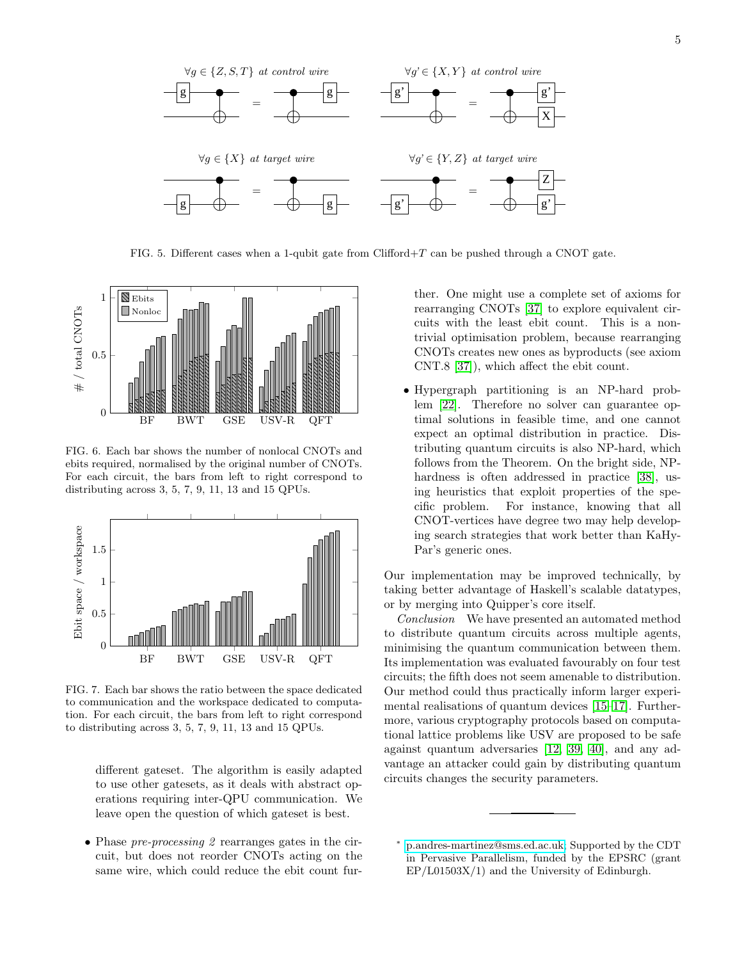

<span id="page-4-1"></span>FIG. 5. Different cases when a 1-qubit gate from Clifford+T can be pushed through a CNOT gate.



<span id="page-4-2"></span>FIG. 6. Each bar shows the number of nonlocal CNOTs and ebits required, normalised by the original number of CNOTs. For each circuit, the bars from left to right correspond to distributing across 3, 5, 7, 9, 11, 13 and 15 QPUs.



<span id="page-4-3"></span>FIG. 7. Each bar shows the ratio between the space dedicated to communication and the workspace dedicated to computation. For each circuit, the bars from left to right correspond to distributing across 3, 5, 7, 9, 11, 13 and 15 QPUs.

different gateset. The algorithm is easily adapted to use other gatesets, as it deals with abstract operations requiring inter-QPU communication. We leave open the question of which gateset is best.

• Phase pre-processing 2 rearranges gates in the circuit, but does not reorder CNOTs acting on the same wire, which could reduce the ebit count further. One might use a complete set of axioms for rearranging CNOTs [\[37\]](#page-5-35) to explore equivalent circuits with the least ebit count. This is a nontrivial optimisation problem, because rearranging CNOTs creates new ones as byproducts (see axiom CNT.8 [\[37\]](#page-5-35)), which affect the ebit count.

• Hypergraph partitioning is an NP-hard problem [\[22\]](#page-5-19). Therefore no solver can guarantee optimal solutions in feasible time, and one cannot expect an optimal distribution in practice. Distributing quantum circuits is also NP-hard, which follows from the Theorem. On the bright side, NP-hardness is often addressed in practice [\[38\]](#page-5-36), using heuristics that exploit properties of the specific problem. For instance, knowing that all CNOT-vertices have degree two may help developing search strategies that work better than KaHy-Par's generic ones.

Our implementation may be improved technically, by taking better advantage of Haskell's scalable datatypes, or by merging into Quipper's core itself.

Conclusion We have presented an automated method to distribute quantum circuits across multiple agents, minimising the quantum communication between them. Its implementation was evaluated favourably on four test circuits; the fifth does not seem amenable to distribution. Our method could thus practically inform larger experimental realisations of quantum devices [\[15–](#page-5-12)[17\]](#page-5-14). Furthermore, various cryptography protocols based on computational lattice problems like USV are proposed to be safe against quantum adversaries [\[12,](#page-5-9) [39,](#page-5-37) [40\]](#page-5-38), and any advantage an attacker could gain by distributing quantum circuits changes the security parameters.

<span id="page-4-0"></span><sup>∗</sup> [p.andres-martinez@sms.ed.ac.uk;](mailto:p.andres-martinez@sms.ed.ac.uk) Supported by the CDT in Pervasive Parallelism, funded by the EPSRC (grant EP/L01503X/1) and the University of Edinburgh.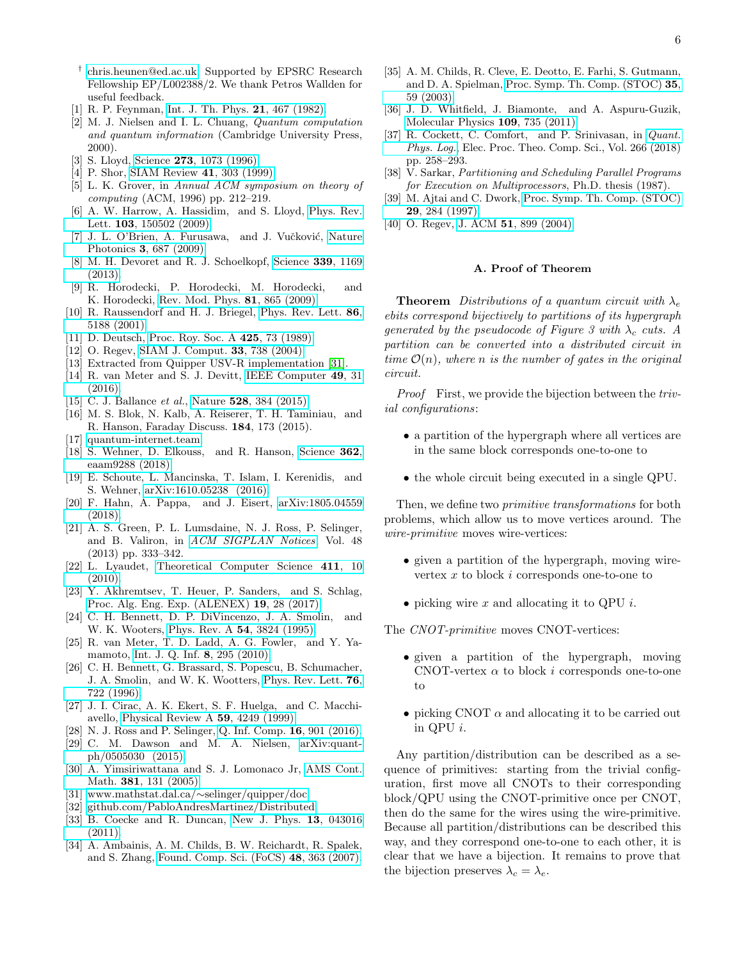- <span id="page-5-0"></span>† [chris.heunen@ed.ac.uk;](mailto:chris.heunen@ed.ac.uk) Supported by EPSRC Research Fellowship EP/L002388/2. We thank Petros Wallden for useful feedback.
- <span id="page-5-1"></span>[1] R. P. Feynman, [Int. J. Th. Phys.](https://doi.org/10.1007/BF02650179) 21, 467 (1982).
- <span id="page-5-34"></span>[2] M. J. Nielsen and I. L. Chuang, Quantum computation and quantum information (Cambridge University Press, 2000).
- <span id="page-5-2"></span>[3] S. Lloyd, Science **273**[, 1073 \(1996\).](https://doi.org/10.1126/science.273.5278.1073)
- <span id="page-5-3"></span>[4] P. Shor, [SIAM Review](https://doi.org/10.1137/S0036144598347011) **41**, 303 (1999).
- [5] L. K. Grover, in Annual ACM symposium on theory of computing (ACM, 1996) pp. 212–219.
- <span id="page-5-4"></span>[6] A. W. Harrow, A. Hassidim, and S. Lloyd, [Phys. Rev.](https://doi.org/10.1103/PhysRevLett.103.150502) Lett. 103[, 150502 \(2009\).](https://doi.org/10.1103/PhysRevLett.103.150502)
- <span id="page-5-5"></span>[7] J. L. O'Brien, A. Furusawa, and J. Vučković, [Nature](https://doi.org/10.1038/nphoton.2009.229) Photonics 3[, 687 \(2009\).](https://doi.org/10.1038/nphoton.2009.229)
- [8] M. H. Devoret and R. J. Schoelkopf, [Science](https://doi.org/10.1126/science.1231930) 339, 1169 [\(2013\).](https://doi.org/10.1126/science.1231930)
- <span id="page-5-6"></span>[9] R. Horodecki, P. Horodecki, M. Horodecki, and K. Horodecki, [Rev. Mod. Phys.](http://doi.org/10.1103/RevModPhys.81.865) 81, 865 (2009).
- <span id="page-5-7"></span>[10] R. Raussendorf and H. J. Briegel, [Phys. Rev. Lett.](https://doi.org/10.1103/PhysRevLett.86.5188) 86, [5188 \(2001\).](https://doi.org/10.1103/PhysRevLett.86.5188)
- <span id="page-5-8"></span>[11] D. Deutsch, [Proc. Roy. Soc. A](https://doi.org/10.1098/rspa.1989.0099) 425, 73 (1989).
- <span id="page-5-9"></span>[12] O. Regev, [SIAM J. Comput.](https://doi.org/10.1137/S0097539703440678) **33**, 738 (2004).
- <span id="page-5-10"></span>[13] Extracted from Quipper USV-R implementation [\[31\]](#page-5-28).
- <span id="page-5-11"></span>[14] R. van Meter and S. J. Devitt, [IEEE Computer](https://doi.org/10.1109/MC.2016.291) 49, 31 [\(2016\).](https://doi.org/10.1109/MC.2016.291)
- <span id="page-5-12"></span>[15] C. J. Ballance *et al.*, Nature **528**[, 384 \(2015\).](https://doi.org/10.1038/nature16184)
- <span id="page-5-13"></span>[16] M. S. Blok, N. Kalb, A. Reiserer, T. H. Taminiau, and R. Hanson, Faraday Discuss. 184, 173 (2015).
- <span id="page-5-14"></span>[17] [quantum-internet.team.](http://quantum-internet.team)
- <span id="page-5-15"></span>[18] S. Wehner, D. Elkouss, and R. Hanson, [Science](https://doi.org/10.1126/science.aam9288) 362, [eaam9288 \(2018\).](https://doi.org/10.1126/science.aam9288)
- <span id="page-5-16"></span>[19] E. Schoute, L. Mancinska, T. Islam, I. Kerenidis, and S. Wehner, [arXiv:1610.05238 \(2016\).](https://arxiv.org/abs/1610.05238)
- <span id="page-5-17"></span>[20] F. Hahn, A. Pappa, and J. Eisert, [arXiv:1805.04559](https://arxiv.org/abs/1805.04559) [\(2018\).](https://arxiv.org/abs/1805.04559)
- <span id="page-5-18"></span>[21] A. S. Green, P. L. Lumsdaine, N. J. Ross, P. Selinger, and B. Valiron, in [ACM SIGPLAN Notices](https://doi.org/10.1145/2499370.2462177), Vol. 48 (2013) pp. 333–342.
- <span id="page-5-19"></span>[22] L. Lyaudet, [Theoretical Computer Science](http://dx.doi.org/https://doi.org/10.1016/j.tcs.2009.08.035) 411, 10 [\(2010\).](http://dx.doi.org/https://doi.org/10.1016/j.tcs.2009.08.035)
- <span id="page-5-20"></span>[23] Y. Akhremtsev, T. Heuer, P. Sanders, and S. Schlag, [Proc. Alg. Eng. Exp. \(ALENEX\)](https://doi.org/10.1137/1.9781611974768.3) 19, 28 (2017).
- <span id="page-5-21"></span>[24] C. H. Bennett, D. P. DiVincenzo, J. A. Smolin, and W. K. Wooters, [Phys. Rev. A](https://doi.org/10.1103/PhysRevA.54.3824) 54, 3824 (1995).
- <span id="page-5-22"></span>[25] R. van Meter, T. D. Ladd, A. G. Fowler, and Y. Yamamoto, [Int. J. Q. Inf.](https://doi.org/10.1142/S0219749910006435) 8, 295 (2010).
- <span id="page-5-23"></span>[26] C. H. Bennett, G. Brassard, S. Popescu, B. Schumacher, J. A. Smolin, and W. K. Wootters, [Phys. Rev. Lett.](http://doi.org/10.1103/PhysRevLett.76.722) 76, [722 \(1996\).](http://doi.org/10.1103/PhysRevLett.76.722)
- <span id="page-5-24"></span>[27] J. I. Cirac, A. K. Ekert, S. F. Huelga, and C. Macchiavello, [Physical Review A](https://doi.org/10.1103/PhysRevA.59.4249) 59, 4249 (1999).
- <span id="page-5-25"></span>[28] N. J. Ross and P. Selinger, [Q. Inf. Comp.](https://doi.org/10.26421/QIC16.11-12) 16, 901 (2016).
- <span id="page-5-26"></span>[29] C. M. Dawson and M. A. Nielsen, [arXiv:quant](https://www.arxiv.org/abs/quant-ph/0505030)[ph/0505030 \(2015\).](https://www.arxiv.org/abs/quant-ph/0505030)
- <span id="page-5-27"></span>[30] A. Yimsiriwattana and S. J. Lomonaco Jr, [AMS Cont.](https://arxiv.org/abs/quant-ph/0402148) Math. **381**[, 131 \(2005\).](https://arxiv.org/abs/quant-ph/0402148)
- <span id="page-5-28"></span>[31] [www.mathstat.dal.ca/](https://www.mathstat.dal.ca/~selinger/quipper/doc)∼selinger/quipper/doc.
- <span id="page-5-29"></span>[32] [github.com/PabloAndresMartinez/Distributed.](https://github.com/PabloAndresMartinez/Distributed)
- <span id="page-5-30"></span>[33] B. Coecke and R. Duncan, [New J. Phys.](https://doi.org/10.1088/1367-2630/13/4/043016) 13, 043016 [\(2011\).](https://doi.org/10.1088/1367-2630/13/4/043016)
- <span id="page-5-31"></span>[34] A. Ambainis, A. M. Childs, B. W. Reichardt, R. Spalek, and S. Zhang, [Found. Comp. Sci. \(FoCS\)](https://doi.org/10.1109/FOCS.2007.57) 48, 363 (2007).
- <span id="page-5-32"></span>[35] A. M. Childs, R. Cleve, E. Deotto, E. Farhi, S. Gutmann, and D. A. Spielman, [Proc. Symp. Th. Comp. \(STOC\)](https://doi.org/10.1145/780542.780552) 35, [59 \(2003\).](https://doi.org/10.1145/780542.780552)
- <span id="page-5-33"></span>[36] J. D. Whitfield, J. Biamonte, and A. Aspuru-Guzik, [Molecular Physics](https://doi.org/10.1080/00268976.2011.552441) 109, 735 (2011).
- <span id="page-5-35"></span>[37] R. Cockett, C. Comfort, and P. Srinivasan, in *Quant*. [Phys. Log.](https://doi.org/10.4204/EPTCS.266.18), Elec. Proc. Theo. Comp. Sci., Vol. 266 (2018) pp. 258–293.
- <span id="page-5-36"></span>[38] V. Sarkar, Partitioning and Scheduling Parallel Programs for Execution on Multiprocessors, Ph.D. thesis (1987).
- <span id="page-5-37"></span>[39] M. Ajtai and C. Dwork, [Proc. Symp. Th. Comp. \(STOC\)](https://doi.org/10.1145/258533.258604) 29[, 284 \(1997\).](https://doi.org/10.1145/258533.258604)
- <span id="page-5-38"></span>[40] O. Regev, J. ACM **51**[, 899 \(2004\).](https://doi.org/10.1145/1039488.1039490)

## A. Proof of Theorem

**Theorem** Distributions of a quantum circuit with  $\lambda_e$ ebits correspond bijectively to partitions of its hypergraph qenerated by the pseudocode of Figure 3 with  $\lambda_c$  cuts. A partition can be converted into a distributed circuit in time  $\mathcal{O}(n)$ , where n is the number of gates in the original circuit.

Proof First, we provide the bijection between the trivial configurations:

- a partition of the hypergraph where all vertices are in the same block corresponds one-to-one to
- the whole circuit being executed in a single QPU.

Then, we define two primitive transformations for both problems, which allow us to move vertices around. The wire-primitive moves wire-vertices:

- given a partition of the hypergraph, moving wirevertex  $x$  to block  $i$  corresponds one-to-one to
- picking wire  $x$  and allocating it to QPU  $i$ .

The *CNOT-primitive* moves CNOT-vertices:

- given a partition of the hypergraph, moving CNOT-vertex  $\alpha$  to block *i* corresponds one-to-one to
- picking CNOT  $\alpha$  and allocating it to be carried out in QPU i.

Any partition/distribution can be described as a sequence of primitives: starting from the trivial configuration, first move all CNOTs to their corresponding block/QPU using the CNOT-primitive once per CNOT, then do the same for the wires using the wire-primitive. Because all partition/distributions can be described this way, and they correspond one-to-one to each other, it is clear that we have a bijection. It remains to prove that the bijection preserves  $\lambda_c = \lambda_e$ .